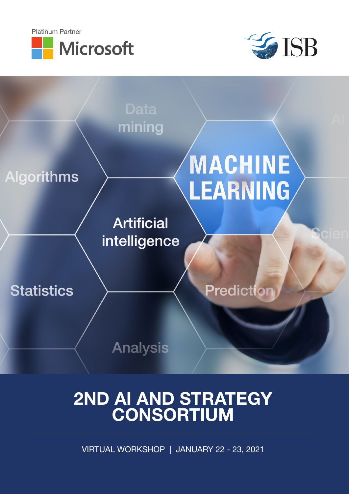





# 2ND AI AND STRATEGY CONSORTIUM

VIRTUAL WORKSHOP | JANUARY 22 - 23, 2021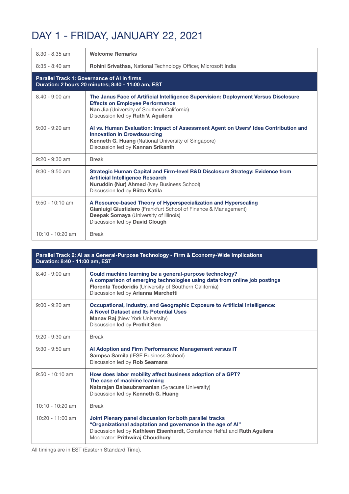### DAY 1 - FRIDAY, JANUARY 22, 2021

| 8.30 - 8.35 am                                                                                           | <b>Welcome Remarks</b>                                                                                                                                                                                                 |  |
|----------------------------------------------------------------------------------------------------------|------------------------------------------------------------------------------------------------------------------------------------------------------------------------------------------------------------------------|--|
| $8:35 - 8:40$ am                                                                                         | <b>Rohini Srivathsa, National Technology Officer, Microsoft India</b>                                                                                                                                                  |  |
| <b>Parallel Track 1: Governance of AI in firms</b><br>Duration: 2 hours 20 minutes; 8:40 - 11:00 am, EST |                                                                                                                                                                                                                        |  |
| $8.40 - 9:00$ am                                                                                         | The Janus Face of Artificial Intelligence Supervision: Deployment Versus Disclosure<br><b>Effects on Employee Performance</b><br>Nan Jia (University of Southern California)<br>Discussion led by Ruth V. Aguilera     |  |
| $9:00 - 9:20$ am                                                                                         | Al vs. Human Evaluation: Impact of Assessment Agent on Users' Idea Contribution and<br><b>Innovation in Crowdsourcing</b><br>Kenneth G. Huang (National University of Singapore)<br>Discussion led by Kannan Srikanth  |  |
| $9:20 - 9:30$ am                                                                                         | <b>Break</b>                                                                                                                                                                                                           |  |
| $9:30 - 9:50$ am                                                                                         | Strategic Human Capital and Firm-level R&D Disclosure Strategy: Evidence from<br><b>Artificial Intelligence Research</b><br>Nuruddin (Nur) Ahmed (Ivey Business School)<br>Discussion led by Riitta Katila             |  |
| $9:50 - 10:10$ am                                                                                        | A Resource-based Theory of Hyperspecialization and Hyperscaling<br>Gianluigi Giustiziero (Frankfurt School of Finance & Management)<br><b>Deepak Somaya (University of Illinois)</b><br>Discussion led by David Clough |  |
| $10:10 - 10:20$ am                                                                                       | <b>Break</b>                                                                                                                                                                                                           |  |

| Parallel Track 2: Al as a General-Purpose Technology - Firm & Economy-Wide Implications<br>Duration: 8:40 - 11:00 am, EST |                                                                                                                                                                                                                                        |  |
|---------------------------------------------------------------------------------------------------------------------------|----------------------------------------------------------------------------------------------------------------------------------------------------------------------------------------------------------------------------------------|--|
| $8.40 - 9:00$ am                                                                                                          | Could machine learning be a general-purpose technology?<br>A comparison of emerging technologies using data from online job postings<br>Florenta Teodoridis (University of Southern California)<br>Discussion led by Arianna Marchetti |  |
| $9:00 - 9:20$ am                                                                                                          | Occupational, Industry, and Geographic Exposure to Artificial Intelligence:<br>A Novel Dataset and Its Potential Uses<br><b>Manav Raj</b> (New York University)<br>Discussion led by Prothit Sen                                       |  |
| $9:20 - 9:30$ am                                                                                                          | <b>Break</b>                                                                                                                                                                                                                           |  |
| $9:30 - 9:50$ am                                                                                                          | Al Adoption and Firm Performance: Management versus IT<br><b>Sampsa Samila (IESE Business School)</b><br>Discussion led by Rob Seamans                                                                                                 |  |
| $9:50 - 10:10$ am                                                                                                         | How does labor mobility affect business adoption of a GPT?<br>The case of machine learning<br>Natarajan Balasubramanian (Syracuse University)<br>Discussion led by Kenneth G. Huang                                                    |  |
| $10:10 - 10:20$ am                                                                                                        | <b>Break</b>                                                                                                                                                                                                                           |  |
| $10:20 - 11:00$ am                                                                                                        | Joint Plenary panel discussion for both parallel tracks<br>"Organizational adaptation and governance in the age of Al"<br>Discussion led by Kathleen Eisenhardt, Constance Helfat and Ruth Aguilera<br>Moderator: Prithwiraj Choudhury |  |

All timings are in EST (Eastern Standard Time).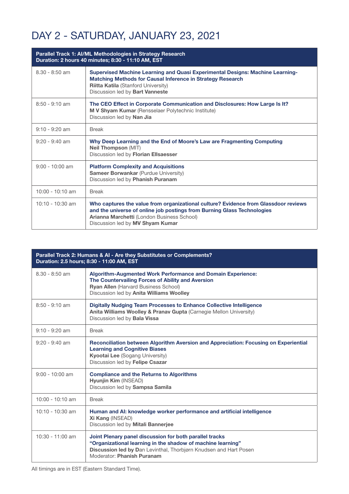### DAY 2 - SATURDAY, JANUARY 23, 2021

| Parallel Track 1: Al/ML Methodologies in Strategy Research<br>Duration: 2 hours 40 minutes; 8:30 - 11:10 AM, EST |                                                                                                                                                                                                                                                  |  |
|------------------------------------------------------------------------------------------------------------------|--------------------------------------------------------------------------------------------------------------------------------------------------------------------------------------------------------------------------------------------------|--|
| $8.30 - 8:50$ am                                                                                                 | Supervised Machine Learning and Quasi Experimental Designs: Machine Learning-<br>Matching Methods for Causal Inference in Strategy Research<br><b>Riitta Katila (Stanford University)</b><br>Discussion led by Bart Vanneste                     |  |
| $8:50 - 9:10$ am                                                                                                 | The CEO Effect in Corporate Communication and Disclosures: How Large Is It?<br>M V Shyam Kumar (Rensselaer Polytechnic Institute)<br>Discussion led by Nan Jia                                                                                   |  |
| $9:10 - 9:20$ am                                                                                                 | <b>Break</b>                                                                                                                                                                                                                                     |  |
| $9:20 - 9:40$ am                                                                                                 | Why Deep Learning and the End of Moore's Law are Fragmenting Computing<br><b>Neil Thompson (MIT)</b><br>Discussion led by Florian Ellsaesser                                                                                                     |  |
| $9:00 - 10:00$ am                                                                                                | <b>Platform Complexity and Acquisitions</b><br><b>Sameer Borwankar (Purdue University)</b><br>Discussion led by Phanish Puranam                                                                                                                  |  |
| $10:00 - 10:10$ am                                                                                               | <b>Break</b>                                                                                                                                                                                                                                     |  |
| $10:10 - 10:30$ am                                                                                               | Who captures the value from organizational culture? Evidence from Glassdoor reviews<br>and the universe of online job postings from Burning Glass Technologies<br>Arianna Marchetti (London Business School)<br>Discussion led by MV Shyam Kumar |  |

| Parallel Track 2: Humans & AI - Are they Substitutes or Complements?<br>Duration: 2.5 hours; 8:30 - 11:00 AM, EST |                                                                                                                                                                                                                           |  |
|-------------------------------------------------------------------------------------------------------------------|---------------------------------------------------------------------------------------------------------------------------------------------------------------------------------------------------------------------------|--|
| $8.30 - 8:50$ am                                                                                                  | <b>Algorithm-Augmented Work Performance and Domain Experience:</b><br>The Countervailing Forces of Ability and Aversion<br><b>Ryan Allen (Harvard Business School)</b><br>Discussion led by Anita Williams Woolley        |  |
| $8:50 - 9:10$ am                                                                                                  | <b>Digitally Nudging Team Processes to Enhance Collective Intelligence</b><br>Anita Williams Woolley & Pranav Gupta (Carnegie Mellon University)<br>Discussion led by <b>Bala Vissa</b>                                   |  |
| $9:10 - 9:20$ am                                                                                                  | <b>Break</b>                                                                                                                                                                                                              |  |
| $9:20 - 9:40$ am                                                                                                  | Reconciliation between Algorithm Aversion and Appreciation: Focusing on Experiential<br><b>Learning and Cognitive Biases</b><br><b>Kyootai Lee (Sogang University)</b><br>Discussion led by Felipe Csazar                 |  |
| $9:00 - 10:00$ am                                                                                                 | <b>Compliance and the Returns to Algorithms</b><br>Hyunjin Kim (INSEAD)<br>Discussion led by Sampsa Samila                                                                                                                |  |
| $10:00 - 10:10$ am                                                                                                | <b>Break</b>                                                                                                                                                                                                              |  |
| $10:10 - 10:30$ am                                                                                                | Human and AI: knowledge worker performance and artificial intelligence<br>Xi Kang (INSEAD)<br>Discussion led by Mitali Bannerjee                                                                                          |  |
| $10:30 - 11:00$ am                                                                                                | Joint Plenary panel discussion for both parallel tracks<br>"Organizational learning in the shadow of machine learning"<br>Discussion led by Dan Levinthal, Thorbjørn Knudsen and Hart Posen<br>Moderator: Phanish Puranam |  |